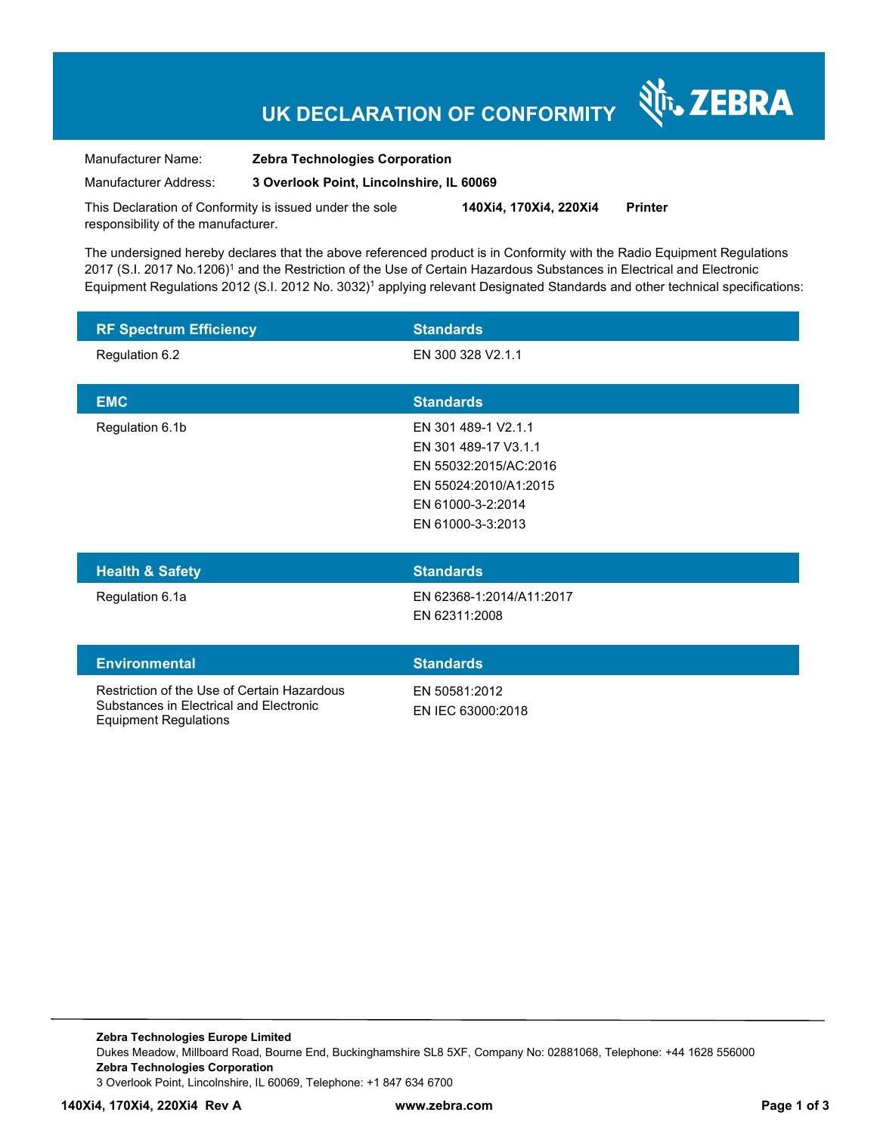# **UK DECLARATION OF CONFORMITY**

N<sub>T</sub>, ZEBRA

| Manufacturer Name:    | <b>Zebra Technologies Corporation</b>    |
|-----------------------|------------------------------------------|
| Manufacturer Address: | 3 Overlook Point, Lincolnshire, IL 60069 |

This Declaration of Conformity is issued under the sole responsibility of the manufacturer. **140Xi4, 170Xi4, 220Xi4 Printer** 

The undersigned hereby declares that the above referenced product is in Conformity with the Radio Equipment Regulations 2017 (S.I. 2017 No.1206)<sup>1</sup> and the Restriction of the Use of Certain Hazardous Substances in Electrical and Electronic Equipment Regulations 2012 (S.I. 2012 No. 3032)<sup>1</sup> applying relevant Designated Standards and other technical specifications:

| <b>RF Spectrum Efficiency</b> | <b>Standards</b>                            |
|-------------------------------|---------------------------------------------|
| Regulation 6.2                | EN 300 328 V2.1.1                           |
|                               |                                             |
| <b>EMC</b>                    | <b>Standards</b>                            |
| Regulation 6.1b               | EN 301 489-1 V2.1.1<br>EN 301 489-17 V3.1.1 |
|                               | EN 55032:2015/AC:2016                       |
|                               | EN 55024:2010/A1:2015                       |
|                               | EN 61000-3-2:2014                           |
|                               | EN 61000-3-3:2013                           |
|                               |                                             |
| <b>Health &amp; Safety</b>    | <b>Standards</b>                            |

Regulation 6.1a EN 62368-1:2014/A11:2017 EN 62311:2008

### **Environmental Standards** Restriction of the Use of Certain Hazardous EN 50581:2012 EN IEC 63000:2018

Substances in Electrical and Electronic Equipment Regulations

**Zebra Technologies Europe Limited**  Dukes Meadow, Millboard Road, Bourne End, Buckinghamshire SL8 5XF, Company No: 02881068, Telephone: +44 1628 556000 **Zebra Technologies Corporation**  3 Overlook Point, Lincolnshire, IL 60069, Telephone: +1 847 634 6700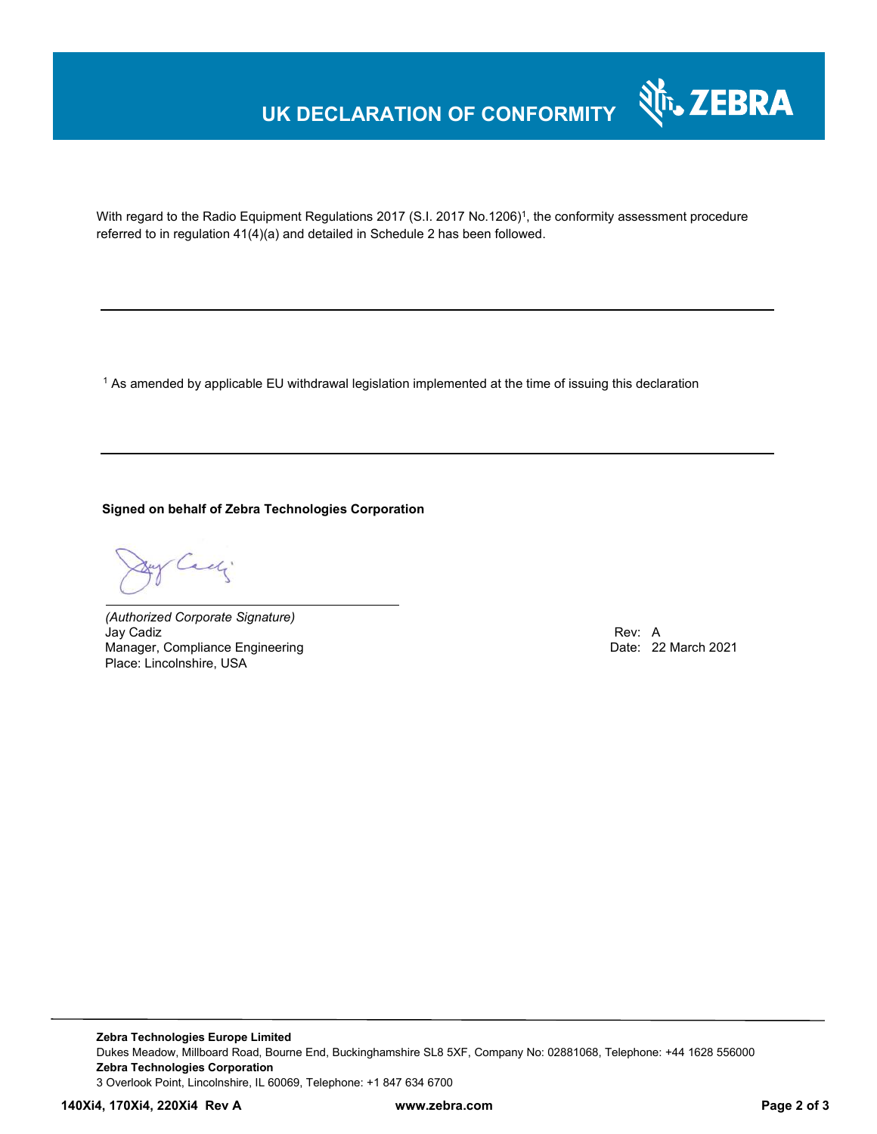# **UK DECLARATION OF CONFORMITY**



With regard to the Radio Equipment Regulations 2017 (S.I. 2017 No.1206)<sup>1</sup>, the conformity assessment procedure referred to in regulation 41(4)(a) and detailed in Schedule 2 has been followed.

 $^{\rm 1}$  As amended by applicable EU withdrawal legislation implemented at the time of issuing this declaration

#### **Signed on behalf of Zebra Technologies Corporation**

Cady

*(Authorized Corporate Signature)* Jay Cadiz Rev: A Manager, Compliance Engineering Place: Lincolnshire, USA